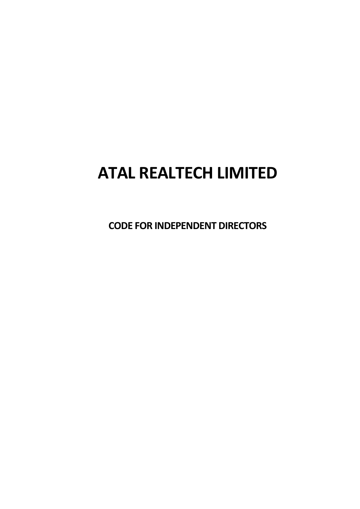# **ATAL REALTECH LIMITED**

**CODE FOR INDEPENDENT DIRECTORS**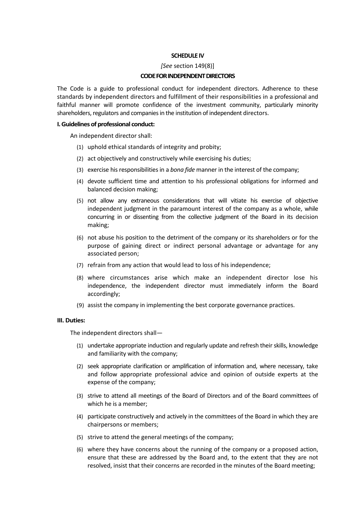## **SCHEDULE IV**

#### *[See* section 149(8)]

### **CODE FOR INDEPENDENT DIRECTORS**

The Code is a guide to professional conduct for independent directors. Adherence to these standards by independent directors and fulfillment of their responsibilities in a professional and faithful manner will promote confidence of the investment community, particularly minority shareholders, regulators and companies in the institution of independent directors.

### **I. Guidelines of professional conduct:**

An independent director shall:

- (1) uphold ethical standards of integrity and probity;
- (2) act objectively and constructively while exercising his duties;
- (3) exercise his responsibilities in a *bona fide* manner in the interest of the company;
- (4) devote sufficient time and attention to his professional obligations for informed and balanced decision making;
- (5) not allow any extraneous considerations that will vitiate his exercise of objective independent judgment in the paramount interest of the company as a whole, while concurring in or dissenting from the collective judgment of the Board in its decision making;
- (6) not abuse his position to the detriment of the company or its shareholders or for the purpose of gaining direct or indirect personal advantage or advantage for any associated person;
- (7) refrain from any action that would lead to loss of his independence;
- (8) where circumstances arise which make an independent director lose his independence, the independent director must immediately inform the Board accordingly;
- (9) assist the company in implementing the best corporate governance practices.

#### **III. Duties:**

The independent directors shall—

- (1) undertake appropriate induction and regularly update and refresh their skills, knowledge and familiarity with the company;
- (2) seek appropriate clarification or amplification of information and, where necessary, take and follow appropriate professional advice and opinion of outside experts at the expense of the company;
- (3) strive to attend all meetings of the Board of Directors and of the Board committees of which he is a member;
- (4) participate constructively and actively in the committees of the Board in which they are chairpersons or members;
- (5) strive to attend the general meetings of the company;
- (6) where they have concerns about the running of the company or a proposed action, ensure that these are addressed by the Board and, to the extent that they are not resolved, insist that their concerns are recorded in the minutes of the Board meeting;